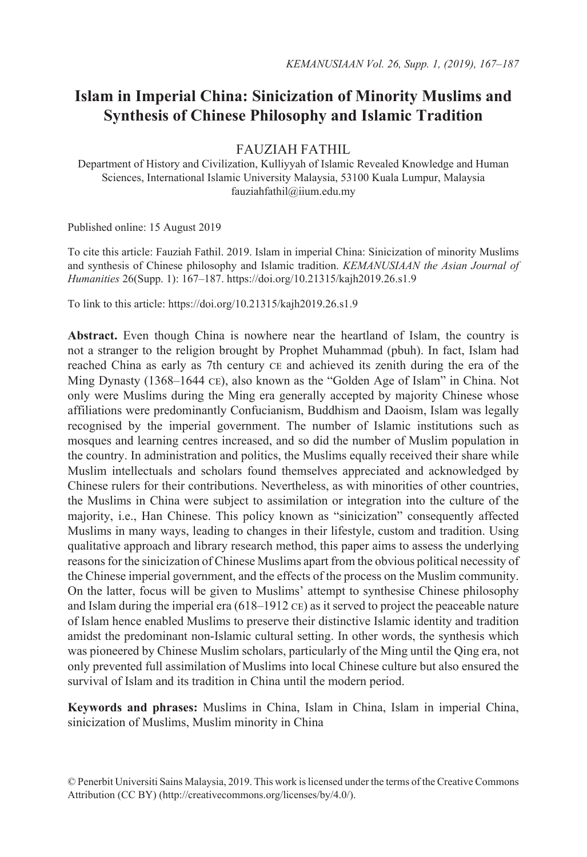# **Islam in Imperial China: Sinicization of Minority Muslims and Synthesis of Chinese Philosophy and Islamic Tradition**

FAUZIAH FATHIL

Department of History and Civilization, Kulliyyah of Islamic Revealed Knowledge and Human Sciences, International Islamic University Malaysia, 53100 Kuala Lumpur, Malaysia fauziahfathil@iium.edu.my

Published online: 15 August 2019

To cite this article: Fauziah Fathil. 2019. Islam in imperial China: Sinicization of minority Muslims and synthesis of Chinese philosophy and Islamic tradition. *KEMANUSIAAN the Asian Journal of Humanities* 26(Supp. 1): 167–187. https://doi.org/10.21315/kajh2019.26.s1.9

To link to this article: https://doi.org/10.21315/kajh2019.26.s1.9

**Abstract.** Even though China is nowhere near the heartland of Islam, the country is not a stranger to the religion brought by Prophet Muhammad (pbuh). In fact, Islam had reached China as early as 7th century ce and achieved its zenith during the era of the Ming Dynasty (1368–1644 ce), also known as the "Golden Age of Islam" in China. Not only were Muslims during the Ming era generally accepted by majority Chinese whose affiliations were predominantly Confucianism, Buddhism and Daoism, Islam was legally recognised by the imperial government. The number of Islamic institutions such as mosques and learning centres increased, and so did the number of Muslim population in the country. In administration and politics, the Muslims equally received their share while Muslim intellectuals and scholars found themselves appreciated and acknowledged by Chinese rulers for their contributions. Nevertheless, as with minorities of other countries, the Muslims in China were subject to assimilation or integration into the culture of the majority, i.e., Han Chinese. This policy known as "sinicization" consequently affected Muslims in many ways, leading to changes in their lifestyle, custom and tradition. Using qualitative approach and library research method, this paper aims to assess the underlying reasons for the sinicization of Chinese Muslims apart from the obvious political necessity of the Chinese imperial government, and the effects of the process on the Muslim community. On the latter, focus will be given to Muslims' attempt to synthesise Chinese philosophy and Islam during the imperial era  $(618-1912 \text{ CE})$  as it served to project the peaceable nature of Islam hence enabled Muslims to preserve their distinctive Islamic identity and tradition amidst the predominant non-Islamic cultural setting. In other words, the synthesis which was pioneered by Chinese Muslim scholars, particularly of the Ming until the Qing era, not only prevented full assimilation of Muslims into local Chinese culture but also ensured the survival of Islam and its tradition in China until the modern period.

**Keywords and phrases:** Muslims in China, Islam in China, Islam in imperial China, sinicization of Muslims, Muslim minority in China

<sup>©</sup> Penerbit Universiti Sains Malaysia, 2019. This work is licensed under the terms of the Creative Commons Attribution (CC BY) (http://creativecommons.org/licenses/by/4.0/).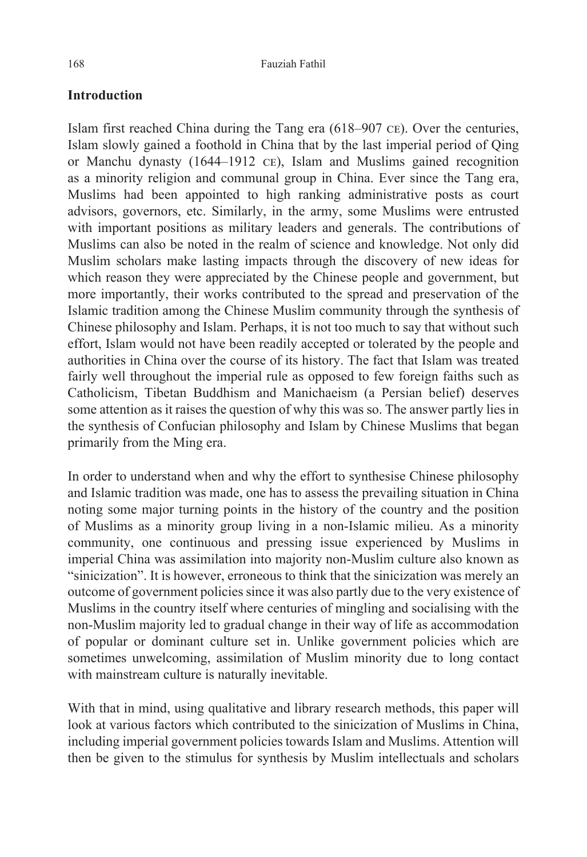## **Introduction**

Islam first reached China during the Tang era (618–907 ce). Over the centuries, Islam slowly gained a foothold in China that by the last imperial period of Qing or Manchu dynasty (1644–1912 ce), Islam and Muslims gained recognition as a minority religion and communal group in China. Ever since the Tang era, Muslims had been appointed to high ranking administrative posts as court advisors, governors, etc. Similarly, in the army, some Muslims were entrusted with important positions as military leaders and generals. The contributions of Muslims can also be noted in the realm of science and knowledge. Not only did Muslim scholars make lasting impacts through the discovery of new ideas for which reason they were appreciated by the Chinese people and government, but more importantly, their works contributed to the spread and preservation of the Islamic tradition among the Chinese Muslim community through the synthesis of Chinese philosophy and Islam. Perhaps, it is not too much to say that without such effort, Islam would not have been readily accepted or tolerated by the people and authorities in China over the course of its history. The fact that Islam was treated fairly well throughout the imperial rule as opposed to few foreign faiths such as Catholicism, Tibetan Buddhism and Manichaeism (a Persian belief) deserves some attention as it raises the question of why this was so. The answer partly lies in the synthesis of Confucian philosophy and Islam by Chinese Muslims that began primarily from the Ming era.

In order to understand when and why the effort to synthesise Chinese philosophy and Islamic tradition was made, one has to assess the prevailing situation in China noting some major turning points in the history of the country and the position of Muslims as a minority group living in a non-Islamic milieu. As a minority community, one continuous and pressing issue experienced by Muslims in imperial China was assimilation into majority non-Muslim culture also known as "sinicization". It is however, erroneous to think that the sinicization was merely an outcome of government policies since it was also partly due to the very existence of Muslims in the country itself where centuries of mingling and socialising with the non-Muslim majority led to gradual change in their way of life as accommodation of popular or dominant culture set in. Unlike government policies which are sometimes unwelcoming, assimilation of Muslim minority due to long contact with mainstream culture is naturally inevitable.

With that in mind, using qualitative and library research methods, this paper will look at various factors which contributed to the sinicization of Muslims in China, including imperial government policies towards Islam and Muslims. Attention will then be given to the stimulus for synthesis by Muslim intellectuals and scholars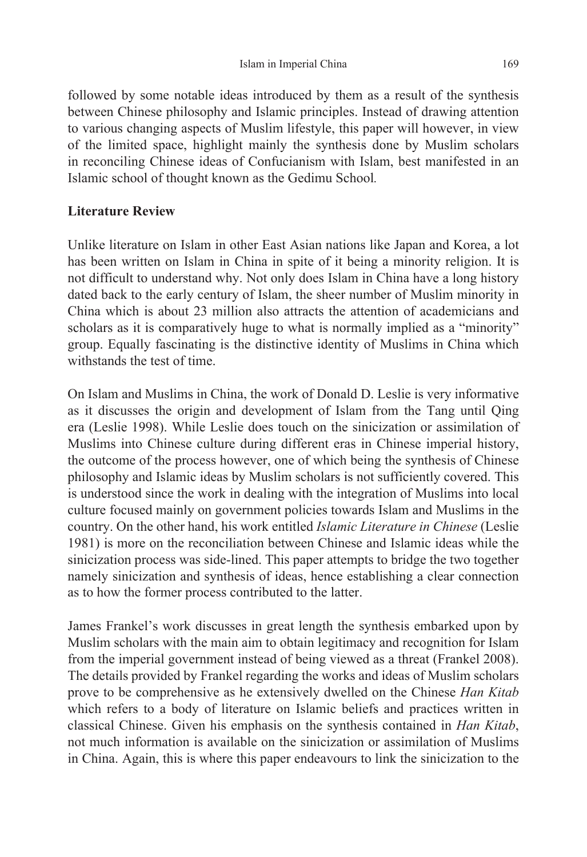followed by some notable ideas introduced by them as a result of the synthesis between Chinese philosophy and Islamic principles. Instead of drawing attention to various changing aspects of Muslim lifestyle, this paper will however, in view of the limited space, highlight mainly the synthesis done by Muslim scholars in reconciling Chinese ideas of Confucianism with Islam, best manifested in an Islamic school of thought known as the Gedimu School*.*

# **Literature Review**

Unlike literature on Islam in other East Asian nations like Japan and Korea, a lot has been written on Islam in China in spite of it being a minority religion. It is not difficult to understand why. Not only does Islam in China have a long history dated back to the early century of Islam, the sheer number of Muslim minority in China which is about 23 million also attracts the attention of academicians and scholars as it is comparatively huge to what is normally implied as a "minority" group. Equally fascinating is the distinctive identity of Muslims in China which withstands the test of time.

On Islam and Muslims in China, the work of Donald D. Leslie is very informative as it discusses the origin and development of Islam from the Tang until Qing era (Leslie 1998). While Leslie does touch on the sinicization or assimilation of Muslims into Chinese culture during different eras in Chinese imperial history, the outcome of the process however, one of which being the synthesis of Chinese philosophy and Islamic ideas by Muslim scholars is not sufficiently covered. This is understood since the work in dealing with the integration of Muslims into local culture focused mainly on government policies towards Islam and Muslims in the country. On the other hand, his work entitled *Islamic Literature in Chinese* (Leslie 1981) is more on the reconciliation between Chinese and Islamic ideas while the sinicization process was side-lined. This paper attempts to bridge the two together namely sinicization and synthesis of ideas, hence establishing a clear connection as to how the former process contributed to the latter.

James Frankel's work discusses in great length the synthesis embarked upon by Muslim scholars with the main aim to obtain legitimacy and recognition for Islam from the imperial government instead of being viewed as a threat (Frankel 2008). The details provided by Frankel regarding the works and ideas of Muslim scholars prove to be comprehensive as he extensively dwelled on the Chinese *Han Kitab* which refers to a body of literature on Islamic beliefs and practices written in classical Chinese. Given his emphasis on the synthesis contained in *Han Kitab*, not much information is available on the sinicization or assimilation of Muslims in China. Again, this is where this paper endeavours to link the sinicization to the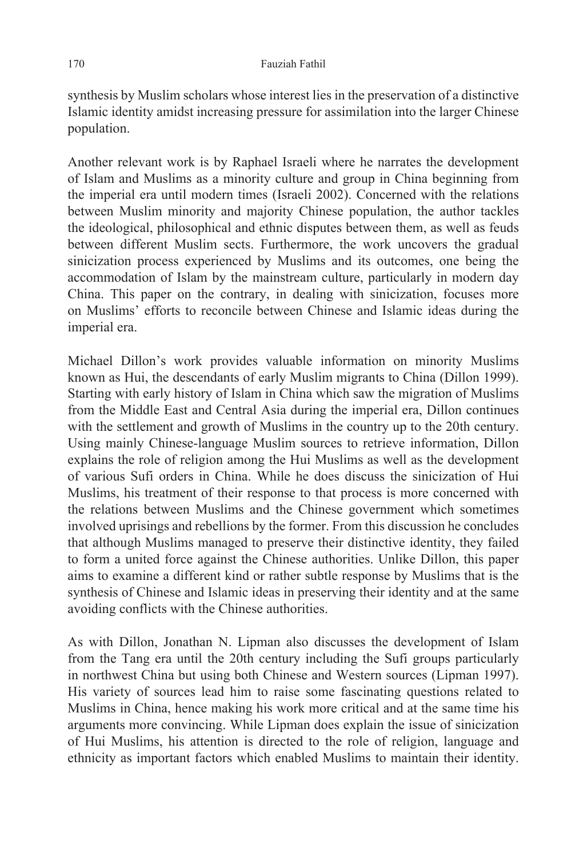synthesis by Muslim scholars whose interest lies in the preservation of a distinctive Islamic identity amidst increasing pressure for assimilation into the larger Chinese population.

Another relevant work is by Raphael Israeli where he narrates the development of Islam and Muslims as a minority culture and group in China beginning from the imperial era until modern times (Israeli 2002). Concerned with the relations between Muslim minority and majority Chinese population, the author tackles the ideological, philosophical and ethnic disputes between them, as well as feuds between different Muslim sects. Furthermore, the work uncovers the gradual sinicization process experienced by Muslims and its outcomes, one being the accommodation of Islam by the mainstream culture, particularly in modern day China. This paper on the contrary, in dealing with sinicization, focuses more on Muslims' efforts to reconcile between Chinese and Islamic ideas during the imperial era.

Michael Dillon's work provides valuable information on minority Muslims known as Hui, the descendants of early Muslim migrants to China (Dillon 1999). Starting with early history of Islam in China which saw the migration of Muslims from the Middle East and Central Asia during the imperial era, Dillon continues with the settlement and growth of Muslims in the country up to the 20th century. Using mainly Chinese-language Muslim sources to retrieve information, Dillon explains the role of religion among the Hui Muslims as well as the development of various Sufi orders in China. While he does discuss the sinicization of Hui Muslims, his treatment of their response to that process is more concerned with the relations between Muslims and the Chinese government which sometimes involved uprisings and rebellions by the former. From this discussion he concludes that although Muslims managed to preserve their distinctive identity, they failed to form a united force against the Chinese authorities. Unlike Dillon, this paper aims to examine a different kind or rather subtle response by Muslims that is the synthesis of Chinese and Islamic ideas in preserving their identity and at the same avoiding conflicts with the Chinese authorities.

As with Dillon, Jonathan N. Lipman also discusses the development of Islam from the Tang era until the 20th century including the Sufi groups particularly in northwest China but using both Chinese and Western sources (Lipman 1997). His variety of sources lead him to raise some fascinating questions related to Muslims in China, hence making his work more critical and at the same time his arguments more convincing. While Lipman does explain the issue of sinicization of Hui Muslims, his attention is directed to the role of religion, language and ethnicity as important factors which enabled Muslims to maintain their identity.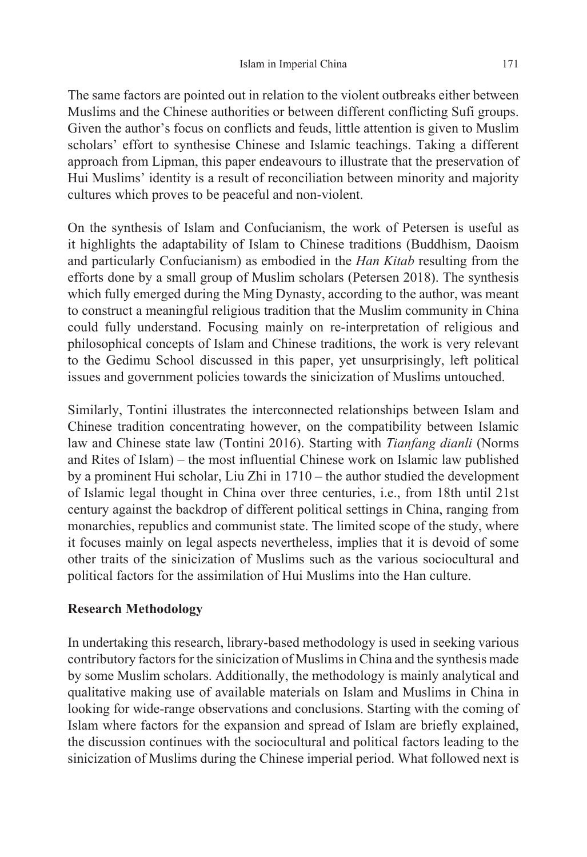The same factors are pointed out in relation to the violent outbreaks either between Muslims and the Chinese authorities or between different conflicting Sufi groups. Given the author's focus on conflicts and feuds, little attention is given to Muslim scholars' effort to synthesise Chinese and Islamic teachings. Taking a different approach from Lipman, this paper endeavours to illustrate that the preservation of Hui Muslims' identity is a result of reconciliation between minority and majority cultures which proves to be peaceful and non-violent.

On the synthesis of Islam and Confucianism, the work of Petersen is useful as it highlights the adaptability of Islam to Chinese traditions (Buddhism, Daoism and particularly Confucianism) as embodied in the *Han Kitab* resulting from the efforts done by a small group of Muslim scholars (Petersen 2018). The synthesis which fully emerged during the Ming Dynasty, according to the author, was meant to construct a meaningful religious tradition that the Muslim community in China could fully understand. Focusing mainly on re-interpretation of religious and philosophical concepts of Islam and Chinese traditions, the work is very relevant to the Gedimu School discussed in this paper, yet unsurprisingly, left political issues and government policies towards the sinicization of Muslims untouched.

Similarly, Tontini illustrates the interconnected relationships between Islam and Chinese tradition concentrating however, on the compatibility between Islamic law and Chinese state law (Tontini 2016). Starting with *Tianfang dianli* (Norms and Rites of Islam) – the most influential Chinese work on Islamic law published by a prominent Hui scholar, Liu Zhi in 1710 – the author studied the development of Islamic legal thought in China over three centuries, i.e., from 18th until 21st century against the backdrop of different political settings in China, ranging from monarchies, republics and communist state. The limited scope of the study, where it focuses mainly on legal aspects nevertheless, implies that it is devoid of some other traits of the sinicization of Muslims such as the various sociocultural and political factors for the assimilation of Hui Muslims into the Han culture.

## **Research Methodology**

In undertaking this research, library-based methodology is used in seeking various contributory factors for the sinicization of Muslims in China and the synthesis made by some Muslim scholars. Additionally, the methodology is mainly analytical and qualitative making use of available materials on Islam and Muslims in China in looking for wide-range observations and conclusions. Starting with the coming of Islam where factors for the expansion and spread of Islam are briefly explained, the discussion continues with the sociocultural and political factors leading to the sinicization of Muslims during the Chinese imperial period. What followed next is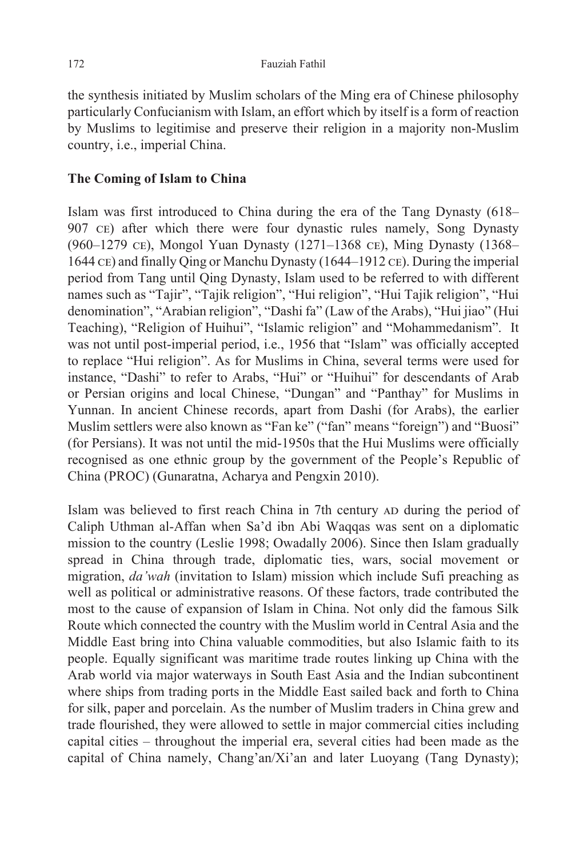the synthesis initiated by Muslim scholars of the Ming era of Chinese philosophy particularly Confucianism with Islam, an effort which by itself is a form of reaction by Muslims to legitimise and preserve their religion in a majority non-Muslim country, i.e., imperial China.

### **The Coming of Islam to China**

Islam was first introduced to China during the era of the Tang Dynasty (618– 907 ce) after which there were four dynastic rules namely, Song Dynasty (960–1279 ce), Mongol Yuan Dynasty (1271–1368 ce), Ming Dynasty (1368– 1644 ce) and finally Qing or Manchu Dynasty (1644–1912 ce). During the imperial period from Tang until Qing Dynasty, Islam used to be referred to with different names such as "Tajir", "Tajik religion", "Hui religion", "Hui Tajik religion", "Hui denomination", "Arabian religion", "Dashi fa" (Law of the Arabs), "Hui jiao" (Hui Teaching), "Religion of Huihui", "Islamic religion" and "Mohammedanism". It was not until post-imperial period, i.e., 1956 that "Islam" was officially accepted to replace "Hui religion". As for Muslims in China, several terms were used for instance, "Dashi" to refer to Arabs, "Hui" or "Huihui" for descendants of Arab or Persian origins and local Chinese, "Dungan" and "Panthay" for Muslims in Yunnan. In ancient Chinese records, apart from Dashi (for Arabs), the earlier Muslim settlers were also known as "Fan ke" ("fan" means "foreign") and "Buosi" (for Persians). It was not until the mid-1950s that the Hui Muslims were officially recognised as one ethnic group by the government of the People's Republic of China (PROC) (Gunaratna, Acharya and Pengxin 2010).

Islam was believed to first reach China in 7th century AD during the period of Caliph Uthman al-Affan when Sa'd ibn Abi Waqqas was sent on a diplomatic mission to the country (Leslie 1998; Owadally 2006). Since then Islam gradually spread in China through trade, diplomatic ties, wars, social movement or migration, *da'wah* (invitation to Islam) mission which include Sufi preaching as well as political or administrative reasons. Of these factors, trade contributed the most to the cause of expansion of Islam in China. Not only did the famous Silk Route which connected the country with the Muslim world in Central Asia and the Middle East bring into China valuable commodities, but also Islamic faith to its people. Equally significant was maritime trade routes linking up China with the Arab world via major waterways in South East Asia and the Indian subcontinent where ships from trading ports in the Middle East sailed back and forth to China for silk, paper and porcelain. As the number of Muslim traders in China grew and trade flourished, they were allowed to settle in major commercial cities including capital cities – throughout the imperial era, several cities had been made as the capital of China namely, Chang'an/Xi'an and later Luoyang (Tang Dynasty);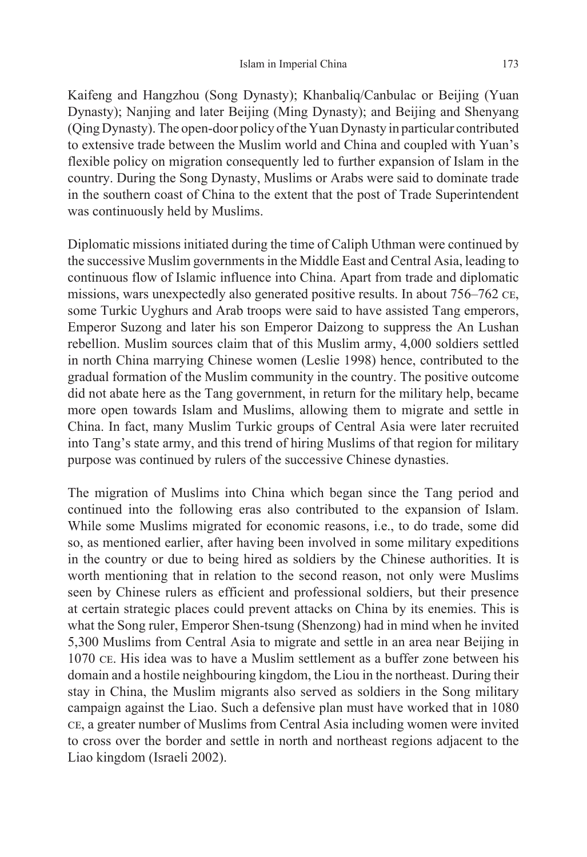Kaifeng and Hangzhou (Song Dynasty); Khanbaliq/Canbulac or Beijing (Yuan Dynasty); Nanjing and later Beijing (Ming Dynasty); and Beijing and Shenyang (Qing Dynasty). The open-door policy of the Yuan Dynasty in particular contributed to extensive trade between the Muslim world and China and coupled with Yuan's flexible policy on migration consequently led to further expansion of Islam in the country. During the Song Dynasty, Muslims or Arabs were said to dominate trade in the southern coast of China to the extent that the post of Trade Superintendent was continuously held by Muslims.

Diplomatic missions initiated during the time of Caliph Uthman were continued by the successive Muslim governments in the Middle East and Central Asia, leading to continuous flow of Islamic influence into China. Apart from trade and diplomatic missions, wars unexpectedly also generated positive results. In about 756–762 ce, some Turkic Uyghurs and Arab troops were said to have assisted Tang emperors, Emperor Suzong and later his son Emperor Daizong to suppress the An Lushan rebellion. Muslim sources claim that of this Muslim army, 4,000 soldiers settled in north China marrying Chinese women (Leslie 1998) hence, contributed to the gradual formation of the Muslim community in the country. The positive outcome did not abate here as the Tang government, in return for the military help, became more open towards Islam and Muslims, allowing them to migrate and settle in China. In fact, many Muslim Turkic groups of Central Asia were later recruited into Tang's state army, and this trend of hiring Muslims of that region for military purpose was continued by rulers of the successive Chinese dynasties.

The migration of Muslims into China which began since the Tang period and continued into the following eras also contributed to the expansion of Islam. While some Muslims migrated for economic reasons, i.e., to do trade, some did so, as mentioned earlier, after having been involved in some military expeditions in the country or due to being hired as soldiers by the Chinese authorities. It is worth mentioning that in relation to the second reason, not only were Muslims seen by Chinese rulers as efficient and professional soldiers, but their presence at certain strategic places could prevent attacks on China by its enemies. This is what the Song ruler, Emperor Shen-tsung (Shenzong) had in mind when he invited 5,300 Muslims from Central Asia to migrate and settle in an area near Beijing in 1070 ce. His idea was to have a Muslim settlement as a buffer zone between his domain and a hostile neighbouring kingdom, the Liou in the northeast. During their stay in China, the Muslim migrants also served as soldiers in the Song military campaign against the Liao. Such a defensive plan must have worked that in 1080 ce, a greater number of Muslims from Central Asia including women were invited to cross over the border and settle in north and northeast regions adjacent to the Liao kingdom (Israeli 2002).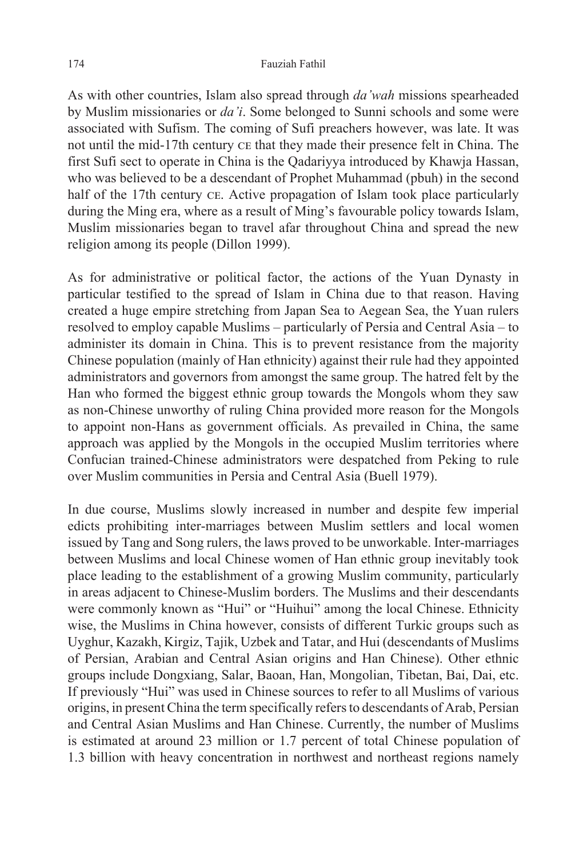#### 174 Fauziah Fathil

As with other countries, Islam also spread through *da'wah* missions spearheaded by Muslim missionaries or *da'i*. Some belonged to Sunni schools and some were associated with Sufism. The coming of Sufi preachers however, was late. It was not until the mid-17th century ce that they made their presence felt in China. The first Sufi sect to operate in China is the Qadariyya introduced by Khawja Hassan, who was believed to be a descendant of Prophet Muhammad (pbuh) in the second half of the 17th century CE. Active propagation of Islam took place particularly during the Ming era, where as a result of Ming's favourable policy towards Islam, Muslim missionaries began to travel afar throughout China and spread the new religion among its people (Dillon 1999).

As for administrative or political factor, the actions of the Yuan Dynasty in particular testified to the spread of Islam in China due to that reason. Having created a huge empire stretching from Japan Sea to Aegean Sea, the Yuan rulers resolved to employ capable Muslims – particularly of Persia and Central Asia – to administer its domain in China. This is to prevent resistance from the majority Chinese population (mainly of Han ethnicity) against their rule had they appointed administrators and governors from amongst the same group. The hatred felt by the Han who formed the biggest ethnic group towards the Mongols whom they saw as non-Chinese unworthy of ruling China provided more reason for the Mongols to appoint non-Hans as government officials. As prevailed in China, the same approach was applied by the Mongols in the occupied Muslim territories where Confucian trained-Chinese administrators were despatched from Peking to rule over Muslim communities in Persia and Central Asia (Buell 1979).

In due course, Muslims slowly increased in number and despite few imperial edicts prohibiting inter-marriages between Muslim settlers and local women issued by Tang and Song rulers, the laws proved to be unworkable. Inter-marriages between Muslims and local Chinese women of Han ethnic group inevitably took place leading to the establishment of a growing Muslim community, particularly in areas adjacent to Chinese-Muslim borders. The Muslims and their descendants were commonly known as "Hui" or "Huihui" among the local Chinese. Ethnicity wise, the Muslims in China however, consists of different Turkic groups such as Uyghur, Kazakh, Kirgiz, Tajik, Uzbek and Tatar, and Hui (descendants of Muslims of Persian, Arabian and Central Asian origins and Han Chinese). Other ethnic groups include Dongxiang, Salar, Baoan, Han, Mongolian, Tibetan, Bai, Dai, etc. If previously "Hui" was used in Chinese sources to refer to all Muslims of various origins, in present China the term specifically refers to descendants of Arab, Persian and Central Asian Muslims and Han Chinese. Currently, the number of Muslims is estimated at around 23 million or 1.7 percent of total Chinese population of 1.3 billion with heavy concentration in northwest and northeast regions namely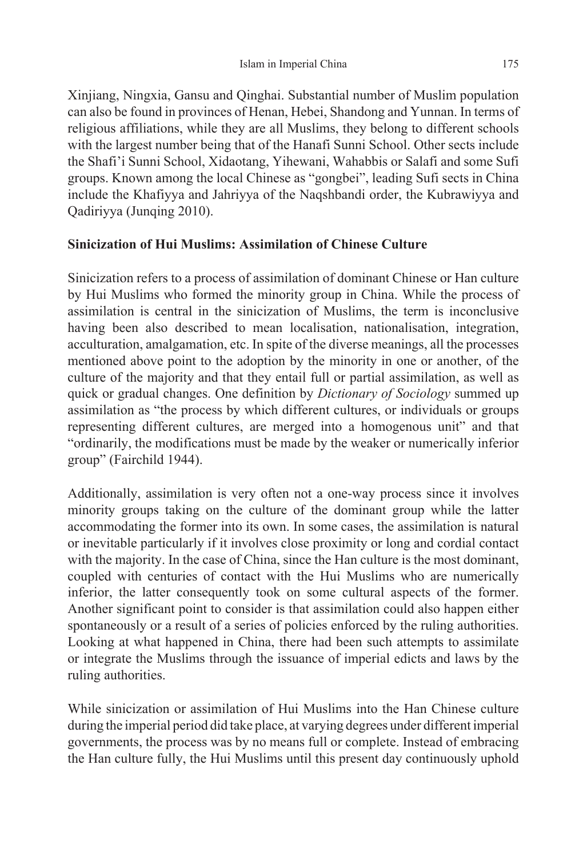Xinjiang, Ningxia, Gansu and Qinghai. Substantial number of Muslim population can also be found in provinces of Henan, Hebei, Shandong and Yunnan. In terms of religious affiliations, while they are all Muslims, they belong to different schools with the largest number being that of the Hanafi Sunni School. Other sects include the Shafi'i Sunni School, Xidaotang, Yihewani, Wahabbis or Salafi and some Sufi groups. Known among the local Chinese as "gongbei", leading Sufi sects in China include the Khafiyya and Jahriyya of the Naqshbandi order, the Kubrawiyya and Qadiriyya (Junqing 2010).

## **Sinicization of Hui Muslims: Assimilation of Chinese Culture**

Sinicization refers to a process of assimilation of dominant Chinese or Han culture by Hui Muslims who formed the minority group in China. While the process of assimilation is central in the sinicization of Muslims, the term is inconclusive having been also described to mean localisation, nationalisation, integration, acculturation, amalgamation, etc. In spite of the diverse meanings, all the processes mentioned above point to the adoption by the minority in one or another, of the culture of the majority and that they entail full or partial assimilation, as well as quick or gradual changes. One definition by *Dictionary of Sociology* summed up assimilation as "the process by which different cultures, or individuals or groups representing different cultures, are merged into a homogenous unit" and that "ordinarily, the modifications must be made by the weaker or numerically inferior group" (Fairchild 1944).

Additionally, assimilation is very often not a one-way process since it involves minority groups taking on the culture of the dominant group while the latter accommodating the former into its own. In some cases, the assimilation is natural or inevitable particularly if it involves close proximity or long and cordial contact with the majority. In the case of China, since the Han culture is the most dominant, coupled with centuries of contact with the Hui Muslims who are numerically inferior, the latter consequently took on some cultural aspects of the former. Another significant point to consider is that assimilation could also happen either spontaneously or a result of a series of policies enforced by the ruling authorities. Looking at what happened in China, there had been such attempts to assimilate or integrate the Muslims through the issuance of imperial edicts and laws by the ruling authorities.

While sinicization or assimilation of Hui Muslims into the Han Chinese culture during the imperial period did take place, at varying degrees under different imperial governments, the process was by no means full or complete. Instead of embracing the Han culture fully, the Hui Muslims until this present day continuously uphold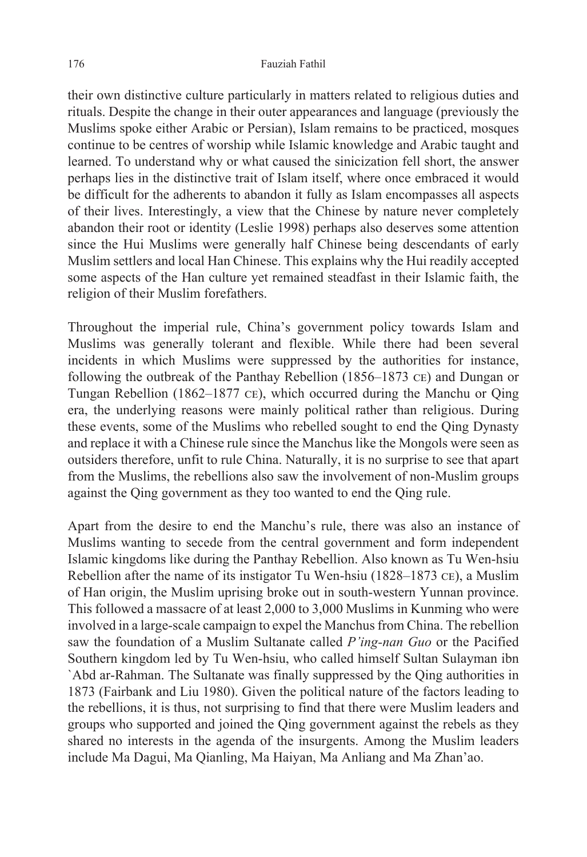their own distinctive culture particularly in matters related to religious duties and rituals. Despite the change in their outer appearances and language (previously the Muslims spoke either Arabic or Persian), Islam remains to be practiced, mosques continue to be centres of worship while Islamic knowledge and Arabic taught and learned. To understand why or what caused the sinicization fell short, the answer perhaps lies in the distinctive trait of Islam itself, where once embraced it would be difficult for the adherents to abandon it fully as Islam encompasses all aspects of their lives. Interestingly, a view that the Chinese by nature never completely abandon their root or identity (Leslie 1998) perhaps also deserves some attention since the Hui Muslims were generally half Chinese being descendants of early Muslim settlers and local Han Chinese. This explains why the Hui readily accepted some aspects of the Han culture yet remained steadfast in their Islamic faith, the religion of their Muslim forefathers.

Throughout the imperial rule, China's government policy towards Islam and Muslims was generally tolerant and flexible. While there had been several incidents in which Muslims were suppressed by the authorities for instance, following the outbreak of the Panthay Rebellion (1856–1873 ce) and Dungan or Tungan Rebellion (1862–1877 ce), which occurred during the Manchu or Qing era, the underlying reasons were mainly political rather than religious. During these events, some of the Muslims who rebelled sought to end the Qing Dynasty and replace it with a Chinese rule since the Manchus like the Mongols were seen as outsiders therefore, unfit to rule China. Naturally, it is no surprise to see that apart from the Muslims, the rebellions also saw the involvement of non-Muslim groups against the Qing government as they too wanted to end the Qing rule.

Apart from the desire to end the Manchu's rule, there was also an instance of Muslims wanting to secede from the central government and form independent Islamic kingdoms like during the Panthay Rebellion. Also known as Tu Wen-hsiu Rebellion after the name of its instigator Tu Wen-hsiu (1828–1873 ce), a Muslim of Han origin, the Muslim uprising broke out in south-western Yunnan province. This followed a massacre of at least 2,000 to 3,000 Muslims in Kunming who were involved in a large-scale campaign to expel the Manchus from China. The rebellion saw the foundation of a Muslim Sultanate called *P'ing-nan Guo* or the Pacified Southern kingdom led by Tu Wen-hsiu, who called himself Sultan Sulayman ibn `Abd ar-Rahman. The Sultanate was finally suppressed by the Qing authorities in 1873 (Fairbank and Liu 1980). Given the political nature of the factors leading to the rebellions, it is thus, not surprising to find that there were Muslim leaders and groups who supported and joined the Qing government against the rebels as they shared no interests in the agenda of the insurgents. Among the Muslim leaders include Ma Dagui, Ma Qianling, Ma Haiyan, Ma Anliang and Ma Zhan'ao.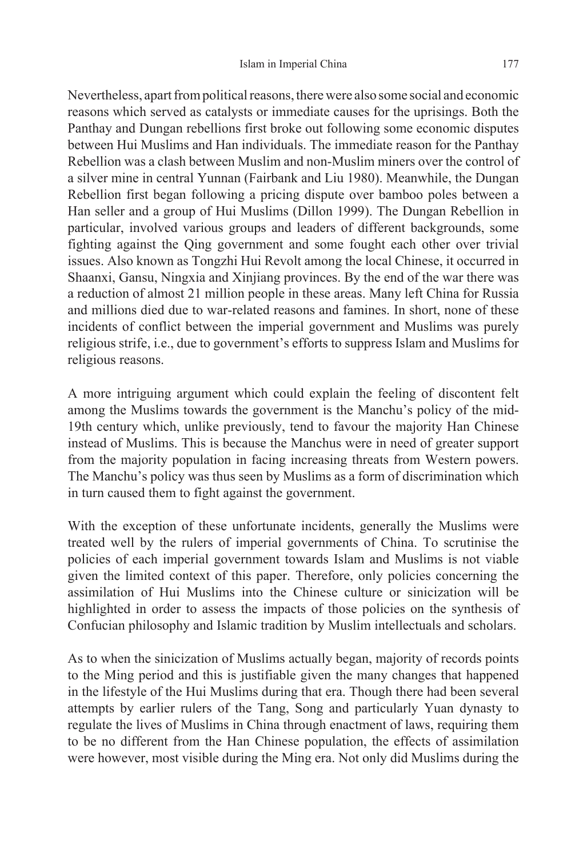Nevertheless, apart from political reasons, there were also some social and economic reasons which served as catalysts or immediate causes for the uprisings. Both the Panthay and Dungan rebellions first broke out following some economic disputes between Hui Muslims and Han individuals. The immediate reason for the Panthay Rebellion was a clash between Muslim and non-Muslim miners over the control of a silver mine in central Yunnan (Fairbank and Liu 1980). Meanwhile, the Dungan Rebellion first began following a pricing dispute over bamboo poles between a Han seller and a group of Hui Muslims (Dillon 1999). The Dungan Rebellion in particular, involved various groups and leaders of different backgrounds, some fighting against the Qing government and some fought each other over trivial issues. Also known as Tongzhi Hui Revolt among the local Chinese, it occurred in Shaanxi, Gansu, Ningxia and Xinjiang provinces. By the end of the war there was a reduction of almost 21 million people in these areas. Many left China for Russia and millions died due to war-related reasons and famines. In short, none of these incidents of conflict between the imperial government and Muslims was purely religious strife, i.e., due to government's efforts to suppress Islam and Muslims for religious reasons.

A more intriguing argument which could explain the feeling of discontent felt among the Muslims towards the government is the Manchu's policy of the mid-19th century which, unlike previously, tend to favour the majority Han Chinese instead of Muslims. This is because the Manchus were in need of greater support from the majority population in facing increasing threats from Western powers. The Manchu's policy was thus seen by Muslims as a form of discrimination which in turn caused them to fight against the government.

With the exception of these unfortunate incidents, generally the Muslims were treated well by the rulers of imperial governments of China. To scrutinise the policies of each imperial government towards Islam and Muslims is not viable given the limited context of this paper. Therefore, only policies concerning the assimilation of Hui Muslims into the Chinese culture or sinicization will be highlighted in order to assess the impacts of those policies on the synthesis of Confucian philosophy and Islamic tradition by Muslim intellectuals and scholars.

As to when the sinicization of Muslims actually began, majority of records points to the Ming period and this is justifiable given the many changes that happened in the lifestyle of the Hui Muslims during that era. Though there had been several attempts by earlier rulers of the Tang, Song and particularly Yuan dynasty to regulate the lives of Muslims in China through enactment of laws, requiring them to be no different from the Han Chinese population, the effects of assimilation were however, most visible during the Ming era. Not only did Muslims during the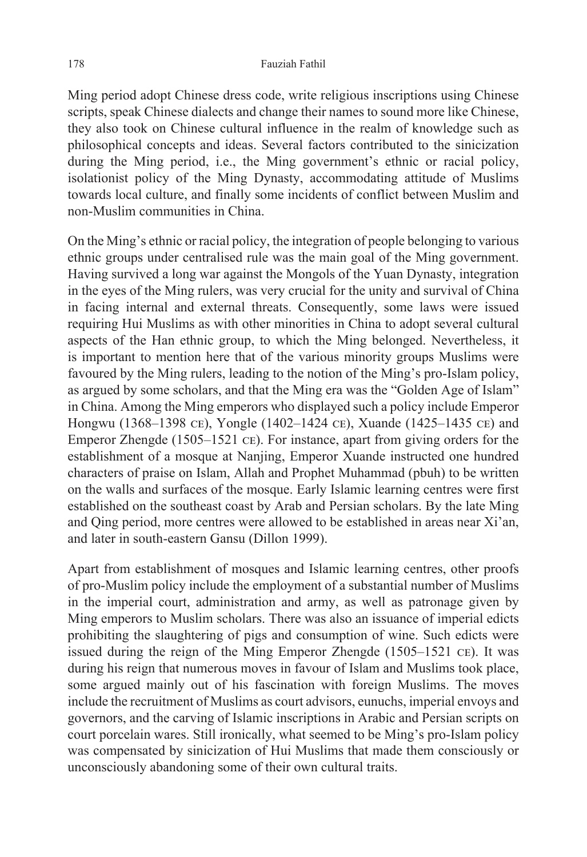Ming period adopt Chinese dress code, write religious inscriptions using Chinese scripts, speak Chinese dialects and change their names to sound more like Chinese, they also took on Chinese cultural influence in the realm of knowledge such as philosophical concepts and ideas. Several factors contributed to the sinicization during the Ming period, i.e., the Ming government's ethnic or racial policy, isolationist policy of the Ming Dynasty, accommodating attitude of Muslims towards local culture, and finally some incidents of conflict between Muslim and non-Muslim communities in China.

On the Ming's ethnic or racial policy, the integration of people belonging to various ethnic groups under centralised rule was the main goal of the Ming government. Having survived a long war against the Mongols of the Yuan Dynasty, integration in the eyes of the Ming rulers, was very crucial for the unity and survival of China in facing internal and external threats. Consequently, some laws were issued requiring Hui Muslims as with other minorities in China to adopt several cultural aspects of the Han ethnic group, to which the Ming belonged. Nevertheless, it is important to mention here that of the various minority groups Muslims were favoured by the Ming rulers, leading to the notion of the Ming's pro-Islam policy, as argued by some scholars, and that the Ming era was the "Golden Age of Islam" in China. Among the Ming emperors who displayed such a policy include Emperor Hongwu (1368–1398 ce), Yongle (1402–1424 ce), Xuande (1425–1435 ce) and Emperor Zhengde (1505–1521 ce). For instance, apart from giving orders for the establishment of a mosque at Nanjing, Emperor Xuande instructed one hundred characters of praise on Islam, Allah and Prophet Muhammad (pbuh) to be written on the walls and surfaces of the mosque. Early Islamic learning centres were first established on the southeast coast by Arab and Persian scholars. By the late Ming and Qing period, more centres were allowed to be established in areas near Xi'an, and later in south-eastern Gansu (Dillon 1999).

Apart from establishment of mosques and Islamic learning centres, other proofs of pro-Muslim policy include the employment of a substantial number of Muslims in the imperial court, administration and army, as well as patronage given by Ming emperors to Muslim scholars. There was also an issuance of imperial edicts prohibiting the slaughtering of pigs and consumption of wine. Such edicts were issued during the reign of the Ming Emperor Zhengde (1505–1521 ce). It was during his reign that numerous moves in favour of Islam and Muslims took place, some argued mainly out of his fascination with foreign Muslims. The moves include the recruitment of Muslims as court advisors, eunuchs, imperial envoys and governors, and the carving of Islamic inscriptions in Arabic and Persian scripts on court porcelain wares. Still ironically, what seemed to be Ming's pro-Islam policy was compensated by sinicization of Hui Muslims that made them consciously or unconsciously abandoning some of their own cultural traits.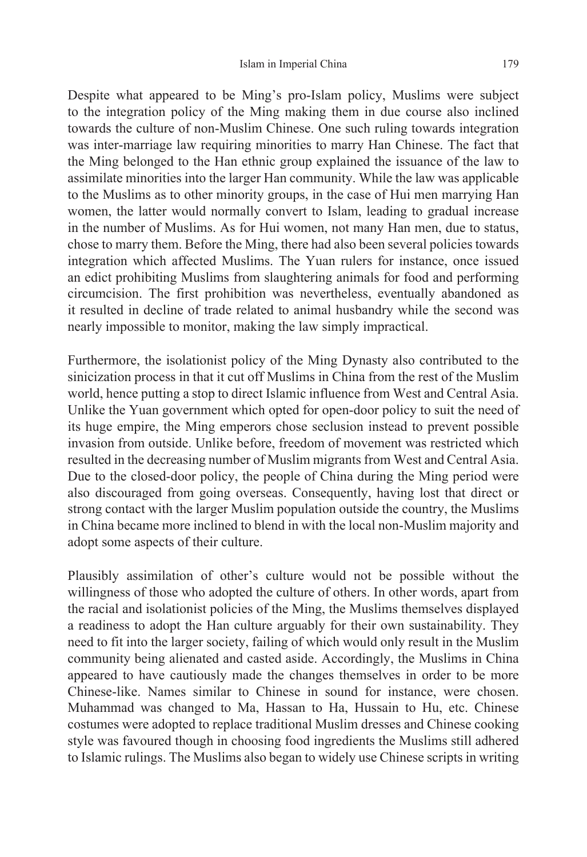Despite what appeared to be Ming's pro-Islam policy, Muslims were subject to the integration policy of the Ming making them in due course also inclined towards the culture of non-Muslim Chinese. One such ruling towards integration was inter-marriage law requiring minorities to marry Han Chinese. The fact that the Ming belonged to the Han ethnic group explained the issuance of the law to assimilate minorities into the larger Han community. While the law was applicable to the Muslims as to other minority groups, in the case of Hui men marrying Han women, the latter would normally convert to Islam, leading to gradual increase in the number of Muslims. As for Hui women, not many Han men, due to status, chose to marry them. Before the Ming, there had also been several policies towards integration which affected Muslims. The Yuan rulers for instance, once issued an edict prohibiting Muslims from slaughtering animals for food and performing circumcision. The first prohibition was nevertheless, eventually abandoned as it resulted in decline of trade related to animal husbandry while the second was nearly impossible to monitor, making the law simply impractical.

Furthermore, the isolationist policy of the Ming Dynasty also contributed to the sinicization process in that it cut off Muslims in China from the rest of the Muslim world, hence putting a stop to direct Islamic influence from West and Central Asia. Unlike the Yuan government which opted for open-door policy to suit the need of its huge empire, the Ming emperors chose seclusion instead to prevent possible invasion from outside. Unlike before, freedom of movement was restricted which resulted in the decreasing number of Muslim migrants from West and Central Asia. Due to the closed-door policy, the people of China during the Ming period were also discouraged from going overseas. Consequently, having lost that direct or strong contact with the larger Muslim population outside the country, the Muslims in China became more inclined to blend in with the local non-Muslim majority and adopt some aspects of their culture.

Plausibly assimilation of other's culture would not be possible without the willingness of those who adopted the culture of others. In other words, apart from the racial and isolationist policies of the Ming, the Muslims themselves displayed a readiness to adopt the Han culture arguably for their own sustainability. They need to fit into the larger society, failing of which would only result in the Muslim community being alienated and casted aside. Accordingly, the Muslims in China appeared to have cautiously made the changes themselves in order to be more Chinese-like. Names similar to Chinese in sound for instance, were chosen. Muhammad was changed to Ma, Hassan to Ha, Hussain to Hu, etc. Chinese costumes were adopted to replace traditional Muslim dresses and Chinese cooking style was favoured though in choosing food ingredients the Muslims still adhered to Islamic rulings. The Muslims also began to widely use Chinese scripts in writing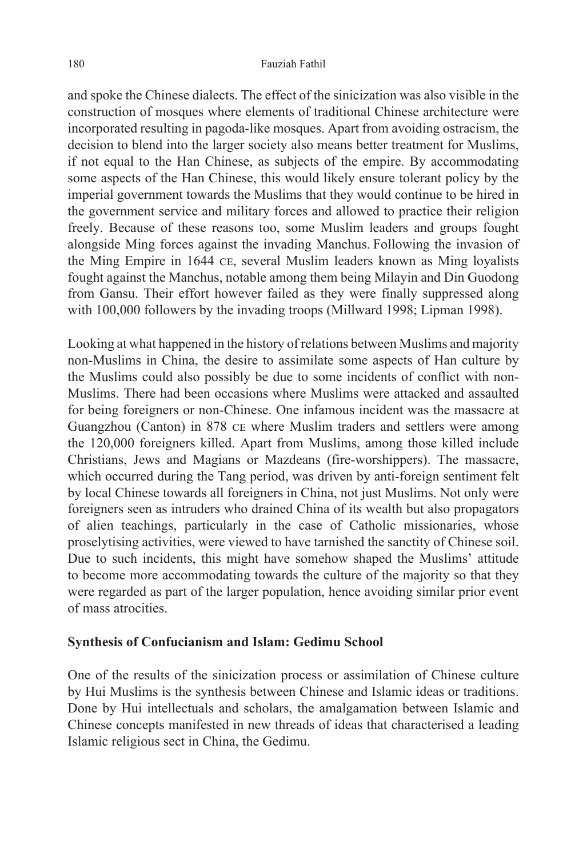#### 180 Fauziah Fathil

and spoke the Chinese dialects. The effect of the sinicization was also visible in the construction of mosques where elements of traditional Chinese architecture were incorporated resulting in pagoda-like mosques. Apart from avoiding ostracism, the decision to blend into the larger society also means better treatment for Muslims, if not equal to the Han Chinese, as subjects of the empire. By accommodating some aspects of the Han Chinese, this would likely ensure tolerant policy by the imperial government towards the Muslims that they would continue to be hired in the government service and military forces and allowed to practice their religion freely. Because of these reasons too, some Muslim leaders and groups fought alongside Ming forces against the invading Manchus. Following the invasion of the Ming Empire in 1644 ce, several Muslim leaders known as Ming loyalists fought against the Manchus, notable among them being Milayin and Din Guodong from Gansu. Their effort however failed as they were finally suppressed along with 100,000 followers by the invading troops (Millward 1998; Lipman 1998).

Looking at what happened in the history of relations between Muslims and majority non-Muslims in China, the desire to assimilate some aspects of Han culture by the Muslims could also possibly be due to some incidents of conflict with non-Muslims. There had been occasions where Muslims were attacked and assaulted for being foreigners or non-Chinese. One infamous incident was the massacre at Guangzhou (Canton) in 878 ce where Muslim traders and settlers were among the 120,000 foreigners killed. Apart from Muslims, among those killed include Christians, Jews and Magians or Mazdeans (fire-worshippers). The massacre, which occurred during the Tang period, was driven by anti-foreign sentiment felt by local Chinese towards all foreigners in China, not just Muslims. Not only were foreigners seen as intruders who drained China of its wealth but also propagators of alien teachings, particularly in the case of Catholic missionaries, whose proselytising activities, were viewed to have tarnished the sanctity of Chinese soil. Due to such incidents, this might have somehow shaped the Muslims' attitude to become more accommodating towards the culture of the majority so that they were regarded as part of the larger population, hence avoiding similar prior event of mass atrocities.

#### **Synthesis of Confucianism and Islam: Gedimu School**

One of the results of the sinicization process or assimilation of Chinese culture by Hui Muslims is the synthesis between Chinese and Islamic ideas or traditions. Done by Hui intellectuals and scholars, the amalgamation between Islamic and Chinese concepts manifested in new threads of ideas that characterised a leading Islamic religious sect in China, the Gedimu.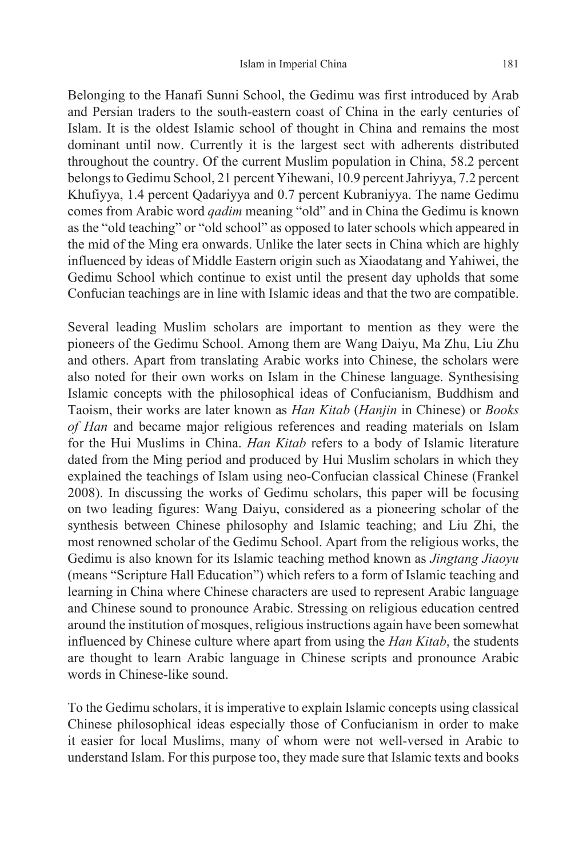Belonging to the Hanafi Sunni School, the Gedimu was first introduced by Arab and Persian traders to the south-eastern coast of China in the early centuries of Islam. It is the oldest Islamic school of thought in China and remains the most dominant until now. Currently it is the largest sect with adherents distributed throughout the country. Of the current Muslim population in China, 58.2 percent belongs to Gedimu School, 21 percent Yihewani, 10.9 percent Jahriyya, 7.2 percent Khufiyya, 1.4 percent Qadariyya and 0.7 percent Kubraniyya. The name Gedimu comes from Arabic word *qadim* meaning "old" and in China the Gedimu is known as the "old teaching" or "old school" as opposed to later schools which appeared in the mid of the Ming era onwards. Unlike the later sects in China which are highly influenced by ideas of Middle Eastern origin such as Xiaodatang and Yahiwei, the Gedimu School which continue to exist until the present day upholds that some Confucian teachings are in line with Islamic ideas and that the two are compatible.

Several leading Muslim scholars are important to mention as they were the pioneers of the Gedimu School. Among them are Wang Daiyu, Ma Zhu, Liu Zhu and others. Apart from translating Arabic works into Chinese, the scholars were also noted for their own works on Islam in the Chinese language. Synthesising Islamic concepts with the philosophical ideas of Confucianism, Buddhism and Taoism, their works are later known as *Han Kitab* (*Hanjin* in Chinese) or *Books of Han* and became major religious references and reading materials on Islam for the Hui Muslims in China. *Han Kitab* refers to a body of Islamic literature dated from the Ming period and produced by Hui Muslim scholars in which they explained the teachings of Islam using neo-Confucian classical Chinese (Frankel 2008). In discussing the works of Gedimu scholars, this paper will be focusing on two leading figures: Wang Daiyu, considered as a pioneering scholar of the synthesis between Chinese philosophy and Islamic teaching; and Liu Zhi, the most renowned scholar of the Gedimu School. Apart from the religious works, the Gedimu is also known for its Islamic teaching method known as *Jingtang Jiaoyu* (means "Scripture Hall Education") which refers to a form of Islamic teaching and learning in China where Chinese characters are used to represent Arabic language and Chinese sound to pronounce Arabic. Stressing on religious education centred around the institution of mosques, religious instructions again have been somewhat influenced by Chinese culture where apart from using the *Han Kitab*, the students are thought to learn Arabic language in Chinese scripts and pronounce Arabic words in Chinese-like sound.

To the Gedimu scholars, it is imperative to explain Islamic concepts using classical Chinese philosophical ideas especially those of Confucianism in order to make it easier for local Muslims, many of whom were not well-versed in Arabic to understand Islam. For this purpose too, they made sure that Islamic texts and books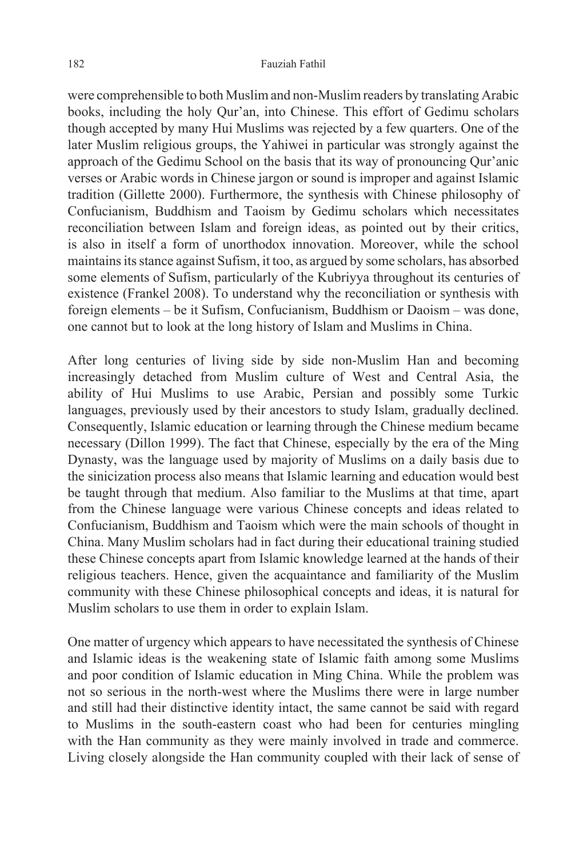were comprehensible to both Muslim and non-Muslim readers by translating Arabic books, including the holy Qur'an, into Chinese. This effort of Gedimu scholars though accepted by many Hui Muslims was rejected by a few quarters. One of the later Muslim religious groups, the Yahiwei in particular was strongly against the approach of the Gedimu School on the basis that its way of pronouncing Qur'anic verses or Arabic words in Chinese jargon or sound is improper and against Islamic tradition (Gillette 2000). Furthermore, the synthesis with Chinese philosophy of Confucianism, Buddhism and Taoism by Gedimu scholars which necessitates reconciliation between Islam and foreign ideas, as pointed out by their critics, is also in itself a form of unorthodox innovation. Moreover, while the school maintains its stance against Sufism, it too, as argued by some scholars, has absorbed some elements of Sufism, particularly of the Kubriyya throughout its centuries of existence (Frankel 2008). To understand why the reconciliation or synthesis with foreign elements – be it Sufism, Confucianism, Buddhism or Daoism – was done, one cannot but to look at the long history of Islam and Muslims in China.

After long centuries of living side by side non-Muslim Han and becoming increasingly detached from Muslim culture of West and Central Asia, the ability of Hui Muslims to use Arabic, Persian and possibly some Turkic languages, previously used by their ancestors to study Islam, gradually declined. Consequently, Islamic education or learning through the Chinese medium became necessary (Dillon 1999). The fact that Chinese, especially by the era of the Ming Dynasty, was the language used by majority of Muslims on a daily basis due to the sinicization process also means that Islamic learning and education would best be taught through that medium. Also familiar to the Muslims at that time, apart from the Chinese language were various Chinese concepts and ideas related to Confucianism, Buddhism and Taoism which were the main schools of thought in China. Many Muslim scholars had in fact during their educational training studied these Chinese concepts apart from Islamic knowledge learned at the hands of their religious teachers. Hence, given the acquaintance and familiarity of the Muslim community with these Chinese philosophical concepts and ideas, it is natural for Muslim scholars to use them in order to explain Islam.

One matter of urgency which appears to have necessitated the synthesis of Chinese and Islamic ideas is the weakening state of Islamic faith among some Muslims and poor condition of Islamic education in Ming China. While the problem was not so serious in the north-west where the Muslims there were in large number and still had their distinctive identity intact, the same cannot be said with regard to Muslims in the south-eastern coast who had been for centuries mingling with the Han community as they were mainly involved in trade and commerce. Living closely alongside the Han community coupled with their lack of sense of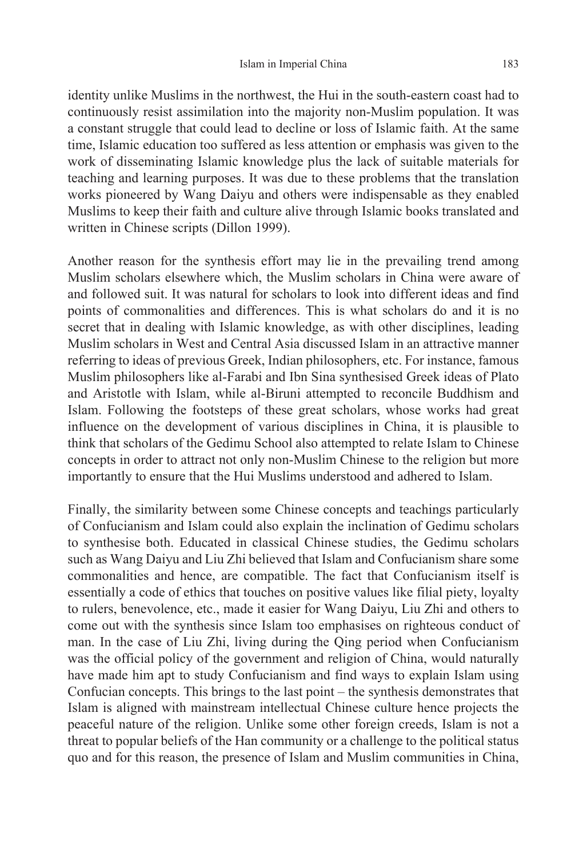identity unlike Muslims in the northwest, the Hui in the south-eastern coast had to continuously resist assimilation into the majority non-Muslim population. It was a constant struggle that could lead to decline or loss of Islamic faith. At the same time, Islamic education too suffered as less attention or emphasis was given to the work of disseminating Islamic knowledge plus the lack of suitable materials for teaching and learning purposes. It was due to these problems that the translation works pioneered by Wang Daiyu and others were indispensable as they enabled Muslims to keep their faith and culture alive through Islamic books translated and written in Chinese scripts (Dillon 1999).

Another reason for the synthesis effort may lie in the prevailing trend among Muslim scholars elsewhere which, the Muslim scholars in China were aware of and followed suit. It was natural for scholars to look into different ideas and find points of commonalities and differences. This is what scholars do and it is no secret that in dealing with Islamic knowledge, as with other disciplines, leading Muslim scholars in West and Central Asia discussed Islam in an attractive manner referring to ideas of previous Greek, Indian philosophers, etc. For instance, famous Muslim philosophers like al-Farabi and Ibn Sina synthesised Greek ideas of Plato and Aristotle with Islam, while al-Biruni attempted to reconcile Buddhism and Islam. Following the footsteps of these great scholars, whose works had great influence on the development of various disciplines in China, it is plausible to think that scholars of the Gedimu School also attempted to relate Islam to Chinese concepts in order to attract not only non-Muslim Chinese to the religion but more importantly to ensure that the Hui Muslims understood and adhered to Islam.

Finally, the similarity between some Chinese concepts and teachings particularly of Confucianism and Islam could also explain the inclination of Gedimu scholars to synthesise both. Educated in classical Chinese studies, the Gedimu scholars such as Wang Daiyu and Liu Zhi believed that Islam and Confucianism share some commonalities and hence, are compatible. The fact that Confucianism itself is essentially a code of ethics that touches on positive values like filial piety, loyalty to rulers, benevolence, etc., made it easier for Wang Daiyu, Liu Zhi and others to come out with the synthesis since Islam too emphasises on righteous conduct of man. In the case of Liu Zhi, living during the Qing period when Confucianism was the official policy of the government and religion of China, would naturally have made him apt to study Confucianism and find ways to explain Islam using Confucian concepts. This brings to the last point – the synthesis demonstrates that Islam is aligned with mainstream intellectual Chinese culture hence projects the peaceful nature of the religion. Unlike some other foreign creeds, Islam is not a threat to popular beliefs of the Han community or a challenge to the political status quo and for this reason, the presence of Islam and Muslim communities in China,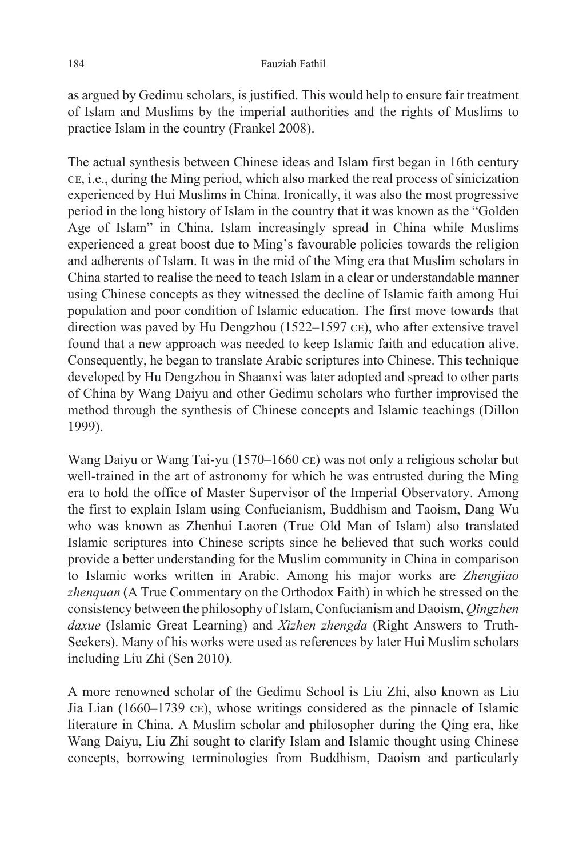as argued by Gedimu scholars, is justified. This would help to ensure fair treatment of Islam and Muslims by the imperial authorities and the rights of Muslims to practice Islam in the country (Frankel 2008).

The actual synthesis between Chinese ideas and Islam first began in 16th century ce, i.e., during the Ming period, which also marked the real process of sinicization experienced by Hui Muslims in China. Ironically, it was also the most progressive period in the long history of Islam in the country that it was known as the "Golden Age of Islam" in China. Islam increasingly spread in China while Muslims experienced a great boost due to Ming's favourable policies towards the religion and adherents of Islam. It was in the mid of the Ming era that Muslim scholars in China started to realise the need to teach Islam in a clear or understandable manner using Chinese concepts as they witnessed the decline of Islamic faith among Hui population and poor condition of Islamic education. The first move towards that direction was paved by Hu Dengzhou (1522–1597 ce), who after extensive travel found that a new approach was needed to keep Islamic faith and education alive. Consequently, he began to translate Arabic scriptures into Chinese. This technique developed by Hu Dengzhou in Shaanxi was later adopted and spread to other parts of China by Wang Daiyu and other Gedimu scholars who further improvised the method through the synthesis of Chinese concepts and Islamic teachings (Dillon 1999).

Wang Daiyu or Wang Tai-yu (1570–1660 ce) was not only a religious scholar but well-trained in the art of astronomy for which he was entrusted during the Ming era to hold the office of Master Supervisor of the Imperial Observatory. Among the first to explain Islam using Confucianism, Buddhism and Taoism, Dang Wu who was known as Zhenhui Laoren (True Old Man of Islam) also translated Islamic scriptures into Chinese scripts since he believed that such works could provide a better understanding for the Muslim community in China in comparison to Islamic works written in Arabic. Among his major works are *Zhengjiao zhenquan* (A True Commentary on the Orthodox Faith) in which he stressed on the consistency between the philosophy of Islam, Confucianism and Daoism, *Qingzhen daxue* (Islamic Great Learning) and *Xizhen zhengda* (Right Answers to Truth-Seekers). Many of his works were used as references by later Hui Muslim scholars including Liu Zhi (Sen 2010).

A more renowned scholar of the Gedimu School is Liu Zhi, also known as Liu Jia Lian (1660–1739 ce), whose writings considered as the pinnacle of Islamic literature in China. A Muslim scholar and philosopher during the Qing era, like Wang Daiyu, Liu Zhi sought to clarify Islam and Islamic thought using Chinese concepts, borrowing terminologies from Buddhism, Daoism and particularly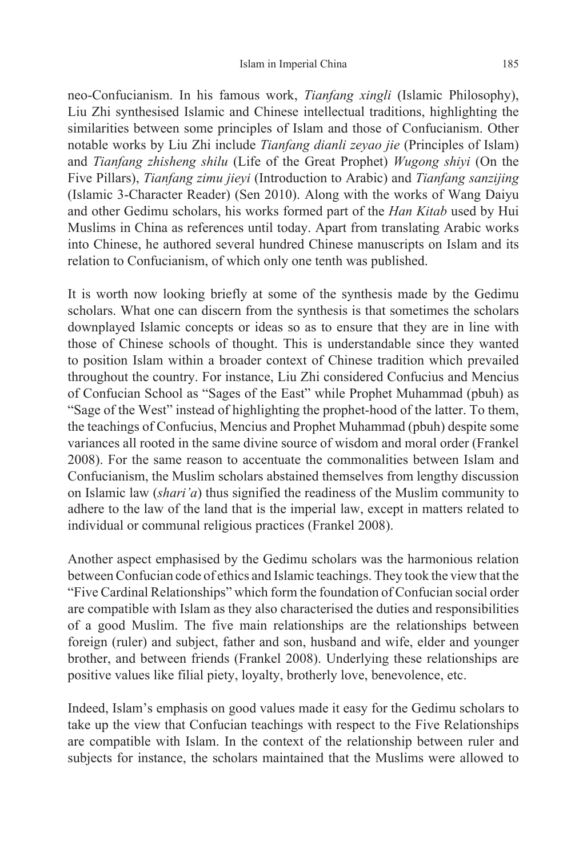neo-Confucianism. In his famous work, *Tianfang xingli* (Islamic Philosophy), Liu Zhi synthesised Islamic and Chinese intellectual traditions, highlighting the similarities between some principles of Islam and those of Confucianism. Other notable works by Liu Zhi include *Tianfang dianli zeyao jie* (Principles of Islam) and *Tianfang zhisheng shilu* (Life of the Great Prophet) *Wugong shiyi* (On the Five Pillars), *Tianfang zimu jieyi* (Introduction to Arabic) and *Tianfang sanzijing* (Islamic 3-Character Reader) (Sen 2010). Along with the works of Wang Daiyu and other Gedimu scholars, his works formed part of the *Han Kitab* used by Hui Muslims in China as references until today. Apart from translating Arabic works into Chinese, he authored several hundred Chinese manuscripts on Islam and its relation to Confucianism, of which only one tenth was published.

It is worth now looking briefly at some of the synthesis made by the Gedimu scholars. What one can discern from the synthesis is that sometimes the scholars downplayed Islamic concepts or ideas so as to ensure that they are in line with those of Chinese schools of thought. This is understandable since they wanted to position Islam within a broader context of Chinese tradition which prevailed throughout the country. For instance, Liu Zhi considered Confucius and Mencius of Confucian School as "Sages of the East" while Prophet Muhammad (pbuh) as "Sage of the West" instead of highlighting the prophet-hood of the latter. To them, the teachings of Confucius, Mencius and Prophet Muhammad (pbuh) despite some variances all rooted in the same divine source of wisdom and moral order (Frankel 2008). For the same reason to accentuate the commonalities between Islam and Confucianism, the Muslim scholars abstained themselves from lengthy discussion on Islamic law (*shari'a*) thus signified the readiness of the Muslim community to adhere to the law of the land that is the imperial law, except in matters related to individual or communal religious practices (Frankel 2008).

Another aspect emphasised by the Gedimu scholars was the harmonious relation between Confucian code of ethics and Islamic teachings. They took the view that the "Five Cardinal Relationships" which form the foundation of Confucian social order are compatible with Islam as they also characterised the duties and responsibilities of a good Muslim. The five main relationships are the relationships between foreign (ruler) and subject, father and son, husband and wife, elder and younger brother, and between friends (Frankel 2008). Underlying these relationships are positive values like filial piety, loyalty, brotherly love, benevolence, etc.

Indeed, Islam's emphasis on good values made it easy for the Gedimu scholars to take up the view that Confucian teachings with respect to the Five Relationships are compatible with Islam. In the context of the relationship between ruler and subjects for instance, the scholars maintained that the Muslims were allowed to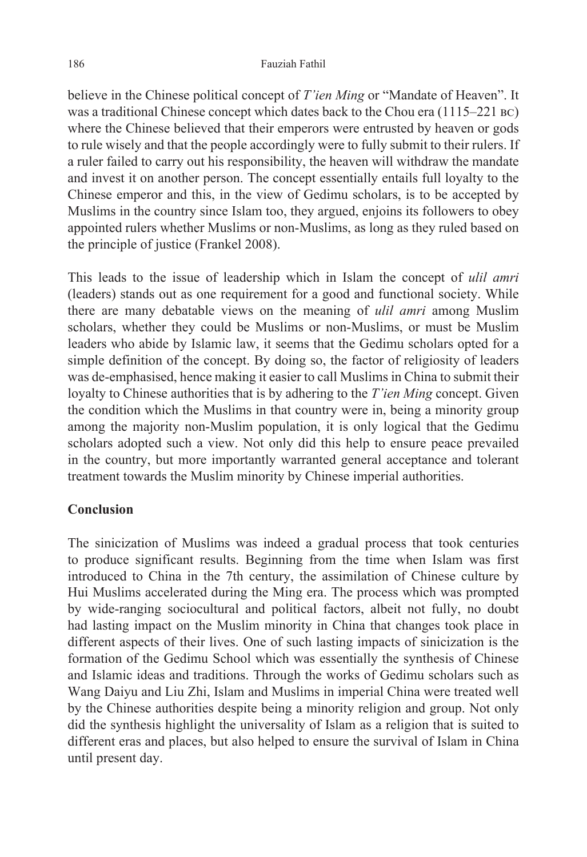believe in the Chinese political concept of *T'ien Ming* or "Mandate of Heaven". It was a traditional Chinese concept which dates back to the Chou era (1115–221 bc) where the Chinese believed that their emperors were entrusted by heaven or gods to rule wisely and that the people accordingly were to fully submit to their rulers. If a ruler failed to carry out his responsibility, the heaven will withdraw the mandate and invest it on another person. The concept essentially entails full loyalty to the Chinese emperor and this, in the view of Gedimu scholars, is to be accepted by Muslims in the country since Islam too, they argued, enjoins its followers to obey appointed rulers whether Muslims or non-Muslims, as long as they ruled based on the principle of justice (Frankel 2008).

This leads to the issue of leadership which in Islam the concept of *ulil amri*  (leaders) stands out as one requirement for a good and functional society. While there are many debatable views on the meaning of *ulil amri* among Muslim scholars, whether they could be Muslims or non-Muslims, or must be Muslim leaders who abide by Islamic law, it seems that the Gedimu scholars opted for a simple definition of the concept. By doing so, the factor of religiosity of leaders was de-emphasised, hence making it easier to call Muslims in China to submit their loyalty to Chinese authorities that is by adhering to the *T'ien Ming* concept. Given the condition which the Muslims in that country were in, being a minority group among the majority non-Muslim population, it is only logical that the Gedimu scholars adopted such a view. Not only did this help to ensure peace prevailed in the country, but more importantly warranted general acceptance and tolerant treatment towards the Muslim minority by Chinese imperial authorities.

#### **Conclusion**

The sinicization of Muslims was indeed a gradual process that took centuries to produce significant results. Beginning from the time when Islam was first introduced to China in the 7th century, the assimilation of Chinese culture by Hui Muslims accelerated during the Ming era. The process which was prompted by wide-ranging sociocultural and political factors, albeit not fully, no doubt had lasting impact on the Muslim minority in China that changes took place in different aspects of their lives. One of such lasting impacts of sinicization is the formation of the Gedimu School which was essentially the synthesis of Chinese and Islamic ideas and traditions. Through the works of Gedimu scholars such as Wang Daiyu and Liu Zhi, Islam and Muslims in imperial China were treated well by the Chinese authorities despite being a minority religion and group. Not only did the synthesis highlight the universality of Islam as a religion that is suited to different eras and places, but also helped to ensure the survival of Islam in China until present day.